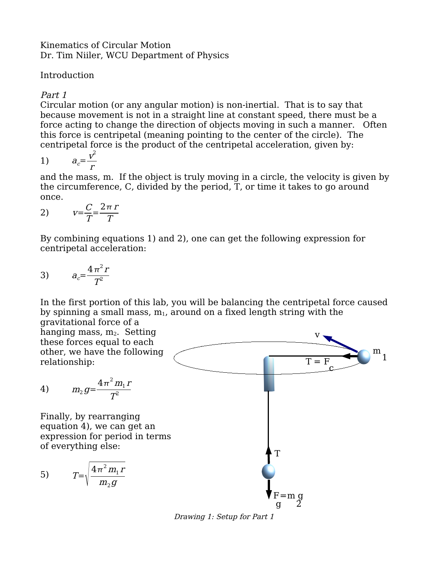#### Kinematics of Circular Motion Dr. Tim Niiler, WCU Department of Physics

## Introduction

# Part 1

Circular motion (or any angular motion) is non-inertial. That is to say that because movement is not in a straight line at constant speed, there must be a force acting to change the direction of objects moving in such a manner. Often this force is centripetal (meaning pointing to the center of the circle). The centripetal force is the product of the centripetal acceleration, given by:

$$
1) \qquad a_c = \frac{v^2}{r}
$$

and the mass, m. If the object is truly moving in a circle, the velocity is given by the circumference, C, divided by the period, T, or time it takes to go around once.

$$
v = \frac{C}{T} = \frac{2\pi r}{T}
$$

By combining equations 1) and 2), one can get the following expression for centripetal acceleration:

$$
a_c = \frac{4\pi^2 r}{T^2}
$$

In the first portion of this lab, you will be balancing the centripetal force caused by spinning a small mass,  $m_1$ , around on a fixed length string with the

 $T = F$ 

v

c

1 m

gravitational force of a hanging mass,  $m_2$ . Setting these forces equal to each other, we have the following relationship:

4) 
$$
m_2 g = \frac{4\pi^2 m_1 r}{T^2}
$$

Finally, by rearranging equation 4), we can get an expression for period in terms of everything else:



Drawing 1: Setup for Part 1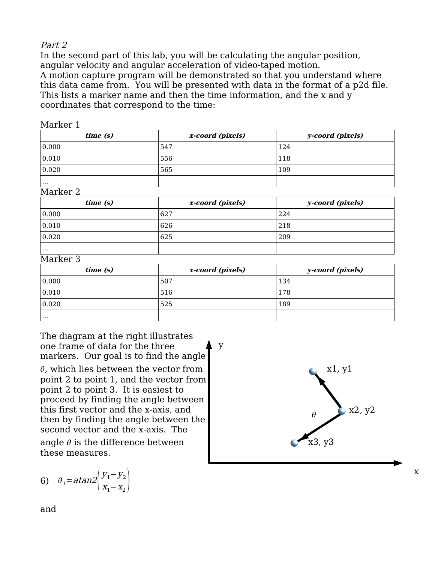#### Part 2

In the second part of this lab, you will be calculating the angular position, angular velocity and angular acceleration of video-taped motion. A motion capture program will be demonstrated so that you understand where this data came from. You will be presented with data in the format of a p2d file. This lists a marker name and then the time information, and the x and y coordinates that correspond to the time:

|  |  | Marker 1 |
|--|--|----------|
|--|--|----------|

| time(s)  | x-coord (pixels) | y-coord (pixels) |
|----------|------------------|------------------|
| 0.000    | .547             | 124              |
| 0.010    | 556              | 118              |
| 0.020    | 565              | 109              |
| $\cdots$ |                  |                  |

Marker 2

| time(s)  | x-coord (pixels) | y-coord (pixels) |
|----------|------------------|------------------|
| 0.000    | 627              | 224              |
| 0.010    | 626              | 218              |
| 0.020    | 625              | 209              |
| $\cdots$ |                  |                  |

#### Marker 3

| time (s)            | x-coord (pixels) | y-coord (pixels) |
|---------------------|------------------|------------------|
| $\vert 0.000 \vert$ | 507              | 134              |
| $\vert 0.010 \vert$ | 516              | 178              |
| $\vert 0.020 \vert$ | 525              | 189              |
| $\cdots$            |                  |                  |

The diagram at the right illustrates one frame of data for the three markers. Our goal is to find the angle  $\theta$ , which lies between the vector from point 2 to point 1, and the vector from point 2 to point 3. It is easiest to proceed by finding the angle between this first vector and the x-axis, and then by finding the angle between the second vector and the x-axis. The angle  $\theta$  is the difference between these measures.

$$
6) \quad \theta_1 = \operatorname{atan2} \left( \frac{y_1 - y_2}{x_1 - x_2} \right)
$$

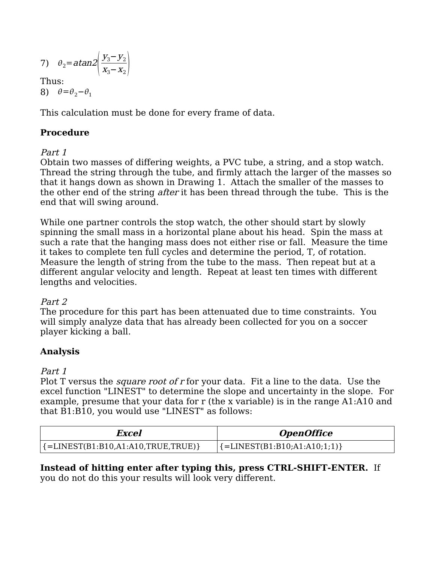$$
7) \quad \theta_2 = \text{atan2} \left( \frac{y_3 - y_2}{x_3 - x_2} \right)
$$

Thus: 8)  $\theta = \theta_2 - \theta_1$ 

This calculation must be done for every frame of data.

## **Procedure**

## Part 1

Obtain two masses of differing weights, a PVC tube, a string, and a stop watch. Thread the string through the tube, and firmly attach the larger of the masses so that it hangs down as shown in Drawing 1. Attach the smaller of the masses to the other end of the string *after* it has been thread through the tube. This is the end that will swing around.

While one partner controls the stop watch, the other should start by slowly spinning the small mass in a horizontal plane about his head. Spin the mass at such a rate that the hanging mass does not either rise or fall. Measure the time it takes to complete ten full cycles and determine the period, T, of rotation. Measure the length of string from the tube to the mass. Then repeat but at a different angular velocity and length. Repeat at least ten times with different lengths and velocities.

## Part 2

The procedure for this part has been attenuated due to time constraints. You will simply analyze data that has already been collected for you on a soccer player kicking a ball.

## **Analysis**

## Part 1

Plot T versus the *square root of r* for your data. Fit a line to the data. Use the excel function "LINEST" to determine the slope and uncertainty in the slope. For example, presume that your data for r (the x variable) is in the range A1:A10 and that B1:B10, you would use "LINEST" as follows:

| Excel                                  | <i><b>OpenOffice</b></i>              |
|----------------------------------------|---------------------------------------|
| ${=}$ LINEST(B1:B10,A1:A10,TRUE,TRUE)} | ${=}\text{LINEST}(B1:B10;A1:A10;1;1)$ |

**Instead of hitting enter after typing this, press CTRL-SHIFT-ENTER.** If you do not do this your results will look very different.